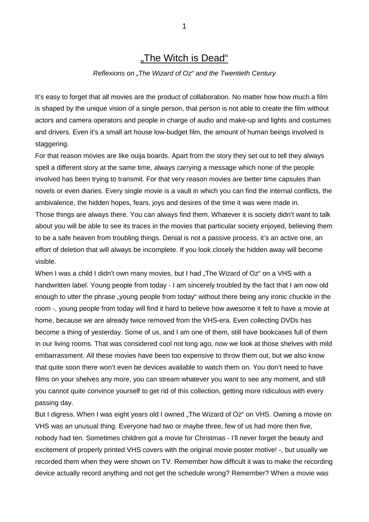# "The Witch is Dead"

#### *Reflexions on "The Wizard of Oz" and the Twentieth Century*

It's easy to forget that all movies are the product of collaboration. No matter how how much a film is shaped by the unique vision of a single person, that person is not able to create the film without actors and camera operators and people in charge of audio and make-up and lights and costumes and drivers. Even it's a small art house low-budget film, the amount of human beings involved is staggering.

For that reason movies are like ouija boards. Apart from the story they set out to tell they always spell a different story at the same time, always carrying a message which none of the people involved has been trying to transmit. For that very reason movies are better time capsules than novels or even diaries. Every single movie is a vault in which you can find the internal conflicts, the ambivalence, the hidden hopes, fears, joys and desires of the time it was were made in. Those things are always there. You can always find them. Whatever it is society didn't want to talk about you will be able to see its traces in the movies that particular society enjoyed, believing them to be a safe heaven from troubling things. Denial is not a passive process, it's an active one, an effort of deletion that will always be incomplete. If you look closely the hidden away will become visible.

When I was a child I didn't own many movies, but I had "The Wizard of Oz" on a VHS with a handwritten label. Young people from today - I am sincerely troubled by the fact that I am now old enough to utter the phrase "young people from today" without there being any ironic chuckle in the room -, young people from today will find it hard to believe how awesome it felt to have a movie at home, because we are already twice removed from the VHS-era. Even collecting DVDs has become a thing of yesterday. Some of us, and I am one of them, still have bookcases full of them in our living rooms. That was considered cool not long ago, now we look at those shelves with mild embarrassment. All these movies have been too expensive to throw them out, but we also know that quite soon there won't even be devices available to watch them on. You don't need to have films on your shelves any more, you can stream whatever you want to see any moment, and still you cannot quite convince yourself to get rid of this collection, getting more ridiculous with every passing day.

But I digress. When I was eight years old I owned "The Wizard of Oz" on VHS. Owning a movie on VHS was an unusual thing. Everyone had two or maybe three, few of us had more then five, nobody had ten. Sometimes children got a movie for Christmas - I'll never forget the beauty and excitement of properly printed VHS covers with the original movie poster motive! -, but usually we recorded them when they were shown on TV. Remember how difficult it was to make the recording device actually record anything and not get the schedule wrong? Remember? When a movie was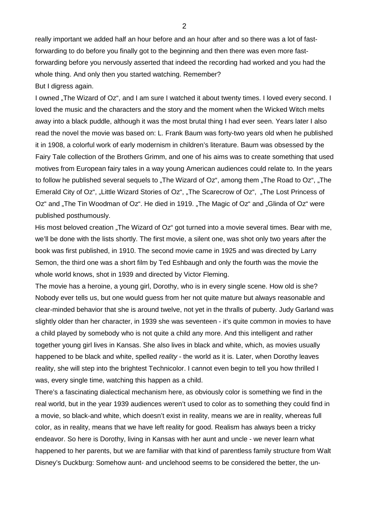really important we added half an hour before and an hour after and so there was a lot of fastforwarding to do before you finally got to the beginning and then there was even more fastforwarding before you nervously asserted that indeed the recording had worked and you had the whole thing. And only then you started watching. Remember?

# But I digress again.

I owned "The Wizard of Oz", and I am sure I watched it about twenty times. I loved every second. I loved the music and the characters and the story and the moment when the Wicked Witch melts away into a black puddle, although it was the most brutal thing I had ever seen. Years later I also read the novel the movie was based on: L. Frank Baum was forty-two years old when he published it in 1908, a colorful work of early modernism in children's literature. Baum was obsessed by the Fairy Tale collection of the Brothers Grimm, and one of his aims was to create something that used motives from European fairy tales in a way young American audiences could relate to. In the years to follow he published several sequels to "The Wizard of  $Oz$ ", among them "The Road to  $Oz$ ", "The Emerald City of Oz", "Little Wizard Stories of Oz", "The Scarecrow of Oz", "The Lost Princess of Oz" and "The Tin Woodman of Oz". He died in 1919. "The Magic of Oz" and "Glinda of Oz" were published posthumously.

His most beloved creation ..The Wizard of Oz" got turned into a movie several times. Bear with me, we'll be done with the lists shortly. The first movie, a silent one, was shot only two years after the book was first published, in 1910. The second movie came in 1925 and was directed by Larry Semon, the third one was a short film by Ted Eshbaugh and only the fourth was the movie the whole world knows, shot in 1939 and directed by Victor Fleming.

The movie has a heroine, a young girl, Dorothy, who is in every single scene. How old is she? Nobody ever tells us, but one would guess from her not quite mature but always reasonable and clear-minded behavior that she is around twelve, not yet in the thralls of puberty. Judy Garland was slightly older than her character, in 1939 she was seventeen - it's quite common in movies to have a child played by somebody who is not quite a child any more. And this intelligent and rather together young girl lives in Kansas. She also lives in black and white, which, as movies usually happened to be black and white, spelled *reality* - the world as it is. Later, when Dorothy leaves reality, she will step into the brightest Technicolor. I cannot even begin to tell you how thrilled I was, every single time, watching this happen as a child.

There's a fascinating dialectical mechanism here, as obviously color is something we find in the real world, but in the year 1939 audiences weren't used to color as to something they could find in a movie, so black-and white, which doesn't exist in reality, means we are in reality, whereas full color, as in reality, means that we have left reality for good. Realism has always been a tricky endeavor. So here is Dorothy, living in Kansas with her aunt and uncle - we never learn what happened to her parents, but we are familiar with that kind of parentless family structure from Walt Disney's Duckburg: Somehow aunt- and unclehood seems to be considered the better, the un-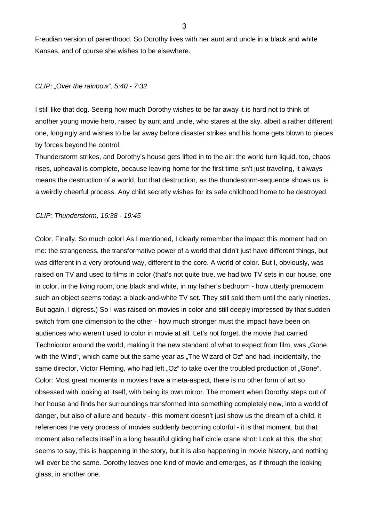Freudian version of parenthood. So Dorothy lives with her aunt and uncle in a black and white Kansas, and of course she wishes to be elsewhere.

# *CLIP: "Over the rainbow", 5:40 - 7:32*

I still like that dog. Seeing how much Dorothy wishes to be far away it is hard not to think of another young movie hero, raised by aunt and uncle, who stares at the sky, albeit a rather different one, longingly and wishes to be far away before disaster strikes and his home gets blown to pieces by forces beyond he control.

Thunderstorm strikes, and Dorothy's house gets lifted in to the air: the world turn liquid, too, chaos rises, upheaval is complete, because leaving home for the first time isn't just traveling, it always means the destruction of a world, but that destruction, as the thundestorm-sequence shows us, is a weirdly cheerful process. Any child secretly wishes for its safe childhood home to be destroyed.

#### *CLIP: Thunderstorm, 16:38 - 19:45*

Color. Finally. So much color! As I mentioned, I clearly remember the impact this moment had on me: the strangeness, the transformative power of a world that didn't just have different things, but *was* different in a very profound way, different to the core. A world of color. But I, obviously, was raised on TV and used to films in color (that's not quite true, we had two TV sets in our house, one in color, in the living room, one black and white, in my father's bedroom - how utterly premodern such an object seems today: a black-and-white TV set. They still sold them until the early nineties. But again, I digress.) So I was raised on movies in color and still deeply impressed by that sudden switch from one dimension to the other - how much stronger must the impact have been on audiences who weren't used to color in movie at all. Let's not forget, the movie that carried Technicolor around the world, making it the new standard of what to expect from film, was "Gone with the Wind", which came out the same year as "The Wizard of Oz" and had, incidentally, the same director, Victor Fleming, who had left "Oz" to take over the troubled production of "Gone". Color: Most great moments in movies have a meta-aspect, there is no other form of art so obsessed with looking at itself, with being its own mirror. The moment when Dorothy steps out of her house and finds her surroundings transformed into something completely new, into a world of danger, but also of allure and beauty - this moment doesn't just show us the dream of a child, it references the very process of movies suddenly becoming colorful - it is that moment, but that moment also reflects itself in a long beautiful gliding half circle crane shot: Look at this, the shot seems to say, this is happening in the story, but it is also happening in movie history, and nothing will ever be the same. Dorothy leaves one kind of movie and emerges, as if through the looking glass, in another one.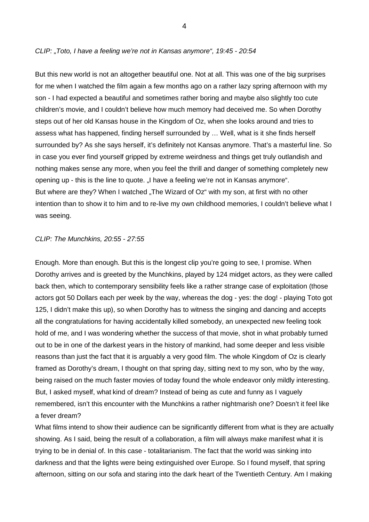# *CLIP: "Toto, I have a feeling we're not in Kansas anymore", 19:45 - 20:54*

But this new world is not an altogether beautiful one. Not at all. This was one of the big surprises for me when I watched the film again a few months ago on a rather lazy spring afternoon with my son - I had expected a beautiful and sometimes rather boring and maybe also slightly too cute children's movie, and I couldn't believe how much memory had deceived me. So when Dorothy steps out of her old Kansas house in the Kingdom of Oz, when she looks around and tries to assess what has happened, finding herself surrounded by … Well, what is it she finds herself surrounded by? As she says herself, it's definitely not Kansas anymore. That's a masterful line. So in case you ever find yourself gripped by extreme weirdness and things get truly outlandish and nothing makes sense any more, when you feel the thrill and danger of something completely new opening up - this is the line to quote. "I have a feeling we're not in Kansas anymore". But where are they? When I watched "The Wizard of Oz" with my son, at first with no other intention than to show it to him and to re-live my own childhood memories, I couldn't believe what I was seeing.

## *CLIP: The Munchkins, 20:55 - 27:55*

Enough. More than enough. But this is the longest clip you're going to see, I promise. When Dorothy arrives and is greeted by the Munchkins, played by 124 midget actors, as they were called back then, which to contemporary sensibility feels like a rather strange case of exploitation (those actors got 50 Dollars each per week by the way, whereas the dog - yes: the dog! - playing Toto got 125, I didn't make this up), so when Dorothy has to witness the singing and dancing and accepts all the congratulations for having accidentally killed somebody, an unexpected new feeling took hold of me, and I was wondering whether the success of that movie, shot in what probably turned out to be in one of the darkest years in the history of mankind, had some deeper and less visible reasons than just the fact that it is arguably a very good film. The whole Kingdom of Oz is clearly framed as Dorothy's dream, I thought on that spring day, sitting next to my son, who by the way, being raised on the much faster movies of today found the whole endeavor only mildly interesting. But, I asked myself, what kind of dream? Instead of being as cute and funny as I vaguely remembered, isn't this encounter with the Munchkins a rather nightmarish one? Doesn't it feel like a fever dream?

What films intend to show their audience can be significantly different from what is they are actually showing. As I said, being the result of a collaboration, a film will always make manifest what it is trying to be in denial of. In this case - totalitarianism. The fact that the world was sinking into darkness and that the lights were being extinguished over Europe. So I found myself, that spring afternoon, sitting on our sofa and staring into the dark heart of the Twentieth Century. Am I making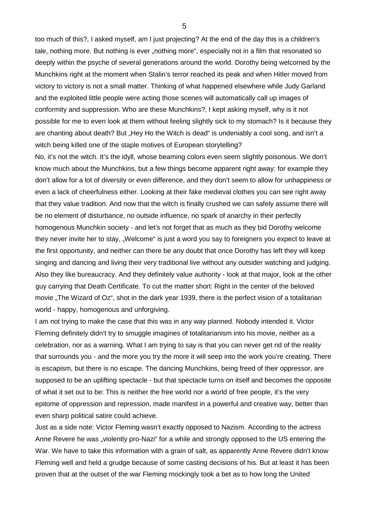too much of this?, I asked myself, am I just projecting? At the end of the day this is a children's tale, nothing more. But nothing is ever "nothing more", especially not in a film that resonated so deeply within the psyche of several generations around the world. Dorothy being welcomed by the Munchkins right at the moment when Stalin's terror reached its peak and when Hitler moved from victory to victory is not a small matter. Thinking of what happened elsewhere while Judy Garland and the exploited little people were acting those scenes will automatically call up images of conformity and suppression. Who are these Munchkins?, I kept asking myself, why is it not possible for me to even look at them without feeling slightly sick to my stomach? Is it because they are chanting about death? But "Hey Ho the Witch is dead" is undeniably a cool song, and isn't a witch being killed one of the staple motives of European storytelling?

No, it's not the witch. It's the idyll, whose beaming colors even seem slightly poisonous. We don't know much about the Munchkins, but a few things become apparent right away: for example they don't allow for a lot of diversity or even difference, and they don't seem to allow for unhappiness or even a lack of cheerfulness either. Looking at their fake medieval clothes you can see right away that they value tradition. And now that the witch is finally crushed we can safely assume there will be no element of disturbance, no outside influence, no spark of anarchy in their perfectly homogenous Munchkin society - and let's not forget that as much as they bid Dorothy welcome they never invite her to stay, "Welcome" is just a word you say to foreigners you expect to leave at the first opportunity, and neither can there be any doubt that once Dorothy has left they will keep singing and dancing and living their very traditional live without any outsider watching and judging. Also they like bureaucracy. And they definitely value authority - look at that major, look at the other guy carrying that Death Certificate. To cut the matter short: Right in the center of the beloved movie "The Wizard of Oz", shot in the dark year 1939, there is the perfect vision of a totalitarian world - happy, homogenous and unforgiving.

I am not trying to make the case that this was in any way planned. Nobody intended it. Victor Fleming definitely didn't try to smuggle imagines of totalitarianism into his movie, neither as a celebration, nor as a warning. What I am trying to say is that you can never get rid of the reality that surrounds you - and the more you try the more it will seep into the work you're creating. There is escapism, but there is no escape. The dancing Munchkins, being freed of their oppressor, are supposed to be an uplifting spectacle - but that spectacle turns on itself and becomes the opposite of what it set out to be: This is neither the free world nor a world of free people, it's the very epitome of oppression and repression, made manifest in a powerful and creative way, better than even sharp political satire could achieve.

Just as a side note: Victor Fleming wasn't exactly opposed to Nazism. According to the actress Anne Revere he was "violently pro-Nazi" for a while and strongly opposed to the US entering the War. We have to take this information with a grain of salt, as apparently Anne Revere didn't know Fleming well and held a grudge because of some casting decisions of his. But at least it has been proven that at the outset of the war Fleming mockingly took a bet as to how long the United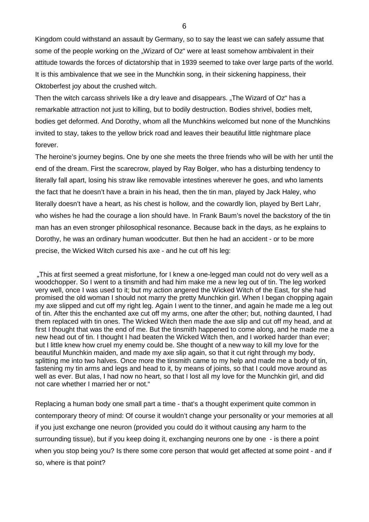Kingdom could withstand an assault by Germany, so to say the least we can safely assume that some of the people working on the "Wizard of Oz" were at least somehow ambivalent in their attitude towards the forces of dictatorship that in 1939 seemed to take over large parts of the world. It is this ambivalence that we see in the Munchkin song, in their sickening happiness, their Oktoberfest joy about the crushed witch.

Then the witch carcass shrivels like a dry leave and disappears. "The Wizard of Oz" has a remarkable attraction not just to killing, but to bodily destruction. Bodies shrivel, bodies melt, bodies get deformed. And Dorothy, whom all the Munchkins welcomed but none of the Munchkins invited to stay, takes to the yellow brick road and leaves their beautiful little nightmare place forever.

The heroine's journey begins. One by one she meets the three friends who will be with her until the end of the dream. First the scarecrow, played by Ray Bolger, who has a disturbing tendency to literally fall apart, losing his straw like removable intestines wherever he goes, and who laments the fact that he doesn't have a brain in his head, then the tin man, played by Jack Haley, who literally doesn't have a heart, as his chest is hollow, and the cowardly lion, played by Bert Lahr, who wishes he had the courage a lion should have. In Frank Baum's novel the backstory of the tin man has an even stronger philosophical resonance. Because back in the days, as he explains to Dorothy, he was an ordinary human woodcutter. But then he had an accident - or to be more precise, the Wicked Witch cursed his axe - and he cut off his leg:

"This at first seemed a great misfortune, for I knew a one-legged man could not do very well as a woodchopper. So I went to a tinsmith and had him make me a new leg out of tin. The leg worked very well, once I was used to it; but my action angered the Wicked Witch of the East, for she had promised the old woman I should not marry the pretty Munchkin girl. When I began chopping again my axe slipped and cut off my right leg. Again I went to the tinner, and again he made me a leg out of tin. After this the enchanted axe cut off my arms, one after the other; but, nothing daunted, I had them replaced with tin ones. The Wicked Witch then made the axe slip and cut off my head, and at first I thought that was the end of me. But the tinsmith happened to come along, and he made me a new head out of tin. I thought I had beaten the Wicked Witch then, and I worked harder than ever; but I little knew how cruel my enemy could be. She thought of a new way to kill my love for the beautiful Munchkin maiden, and made my axe slip again, so that it cut right through my body, splitting me into two halves. Once more the tinsmith came to my help and made me a body of tin, fastening my tin arms and legs and head to it, by means of joints, so that I could move around as well as ever. But alas, I had now no heart, so that I lost all my love for the Munchkin girl, and did not care whether I married her or not."

Replacing a human body one small part a time - that's a thought experiment quite common in contemporary theory of mind: Of course it wouldn't change your personality or your memories at all if you just exchange one neuron (provided you could do it without causing any harm to the surrounding tissue), but if you keep doing it, exchanging neurons one by one - is there a point when you stop being you? Is there some core person that would get affected at some point - and if so, where is that point?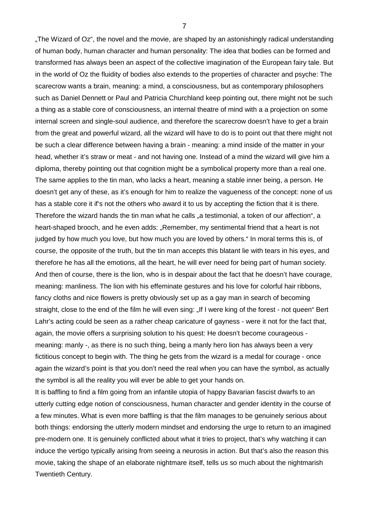"The Wizard of Oz", the novel and the movie, are shaped by an astonishingly radical understanding of human body, human character and human personality: The idea that bodies can be formed and transformed has always been an aspect of the collective imagination of the European fairy tale. But in the world of Oz the fluidity of bodies also extends to the properties of character and psyche: The scarecrow wants a brain, meaning: a mind, a consciousness, but as contemporary philosophers such as Daniel Dennett or Paul and Patricia Churchland keep pointing out, there might not be such a thing as a stable core of consciousness, an internal theatre of mind with a a projection on some internal screen and single-soul audience, and therefore the scarecrow doesn't have to *get* a brain from the great and powerful wizard, all the wizard will have to do is to point out that there might not be such a clear difference between having a brain - meaning: a mind inside of the matter in your head, whether it's straw or meat - and not having one. Instead of a mind the wizard will give him a diploma, thereby pointing out that cognition might be a symbolical property more than a real one. The same applies to the tin man, who lacks a heart, meaning a stable inner being, a person. He doesn't get any of these, as it's enough for him to realize the vagueness of the concept: none of us has a stable core it if's not the others who award it to us by accepting the fiction that it is there. Therefore the wizard hands the tin man what he calls "a testimonial, a token of our affection", a heart-shaped brooch, and he even adds: "Remember, my sentimental friend that a heart is not judged by how much you love, but how much you are loved by others." In moral terms this is, of course, the opposite of the truth, but the tin man accepts this blatant lie with tears in his eyes, and therefore he has all the emotions, all the heart, he will ever need for being part of human society. And then of course, there is the lion, who is in despair about the fact that he doesn't have courage, meaning: manliness. The lion with his effeminate gestures and his love for colorful hair ribbons, fancy cloths and nice flowers is pretty obviously set up as a gay man in search of becoming straight, close to the end of the film he will even sing: "If I were king of the forest - not queen" Bert Lahr's acting could be seen as a rather cheap caricature of gayness - were it not for the fact that, again, the movie offers a surprising solution to his quest: He doesn't become courageous meaning: manly -, as there is no such thing, being a manly hero lion has always been a very fictitious concept to begin with. The thing he gets from the wizard is a medal for courage - once again the wizard's point is that you don't need the real when you can have the symbol, as actually the symbol is all the reality you will ever be able to get your hands on.

It is baffling to find a film going from an infantile utopia of happy Bavarian fascist dwarfs to an utterly cutting edge notion of consciousness, human character and gender identity in the course of a few minutes. What is even more baffling is that the film manages to be genuinely serious about both things: endorsing the utterly modern mindset and endorsing the urge to return to an imagined pre-modern one. It is genuinely conflicted about what it tries to project, that's why watching it can induce the vertigo typically arising from seeing a neurosis in action. But that's also the reason this movie, taking the shape of an elaborate nightmare itself, tells us so much about the nightmarish Twentieth Century.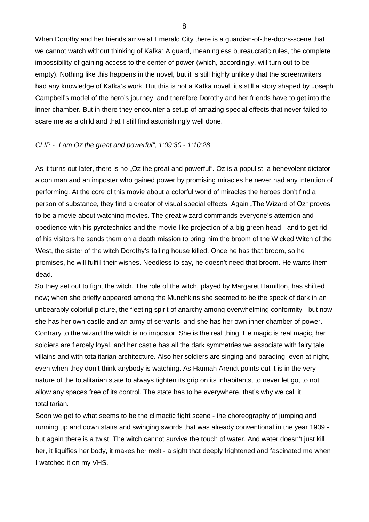When Dorothy and her friends arrive at Emerald City there is a guardian-of-the-doors-scene that we cannot watch without thinking of Kafka: A guard, meaningless bureaucratic rules, the complete impossibility of gaining access to the center of power (which, accordingly, will turn out to be empty). Nothing like this happens in the novel, but it is still highly unlikely that the screenwriters had any knowledge of Kafka's work. But this is not a Kafka novel, it's still a story shaped by Joseph Campbell's model of the hero's journey, and therefore Dorothy and her friends have to get into the inner chamber. But in there they encounter a setup of amazing special effects that never failed to scare me as a child and that I still find astonishingly well done.

## *CLIP - "I am Oz the great and powerful", 1:09:30 - 1:10:28*

As it turns out later, there is no "Oz the great and powerful". Oz is a populist, a benevolent dictator, a con man and an imposter who gained power by promising miracles he never had any intention of performing. At the core of this movie about a colorful world of miracles the heroes don't find a person of substance, they find a creator of visual special effects. Again "The Wizard of Oz" proves to be a movie about watching movies. The great wizard commands everyone's attention and obedience with his pyrotechnics and the movie-like projection of a big green head - and to get rid of his visitors he sends them on a death mission to bring him the broom of the Wicked Witch of the West, the sister of the witch Dorothy's falling house killed. Once he has that broom, so he promises, he will fulfill their wishes. Needless to say, he doesn't need that broom. He wants them dead.

So they set out to fight the witch. The role of the witch, played by Margaret Hamilton, has shifted now; when she briefly appeared among the Munchkins she seemed to be the speck of dark in an unbearably colorful picture, the fleeting spirit of anarchy among overwhelming conformity - but now she has her own castle and an army of servants, and she has her own inner chamber of power. Contrary to the wizard the witch is no impostor. She is the real thing. He magic is real magic, her soldiers are fiercely loyal, and her castle has all the dark symmetries we associate with fairy tale villains and with totalitarian architecture. Also her soldiers are singing and parading, even at night, even when they don't think anybody is watching. As Hannah Arendt points out it is in the very nature of the totalitarian state to always tighten its grip on its inhabitants, to never let go, to not allow any spaces free of its control. The state has to be everywhere, that's why we call it totalitarian.

Soon we get to what seems to be the climactic fight scene - the choreography of jumping and running up and down stairs and swinging swords that was already conventional in the year 1939 but again there is a twist. The witch cannot survive the touch of water. And water doesn't just kill her, it liquifies her body, it makes her melt - a sight that deeply frightened and fascinated me when I watched it on my VHS.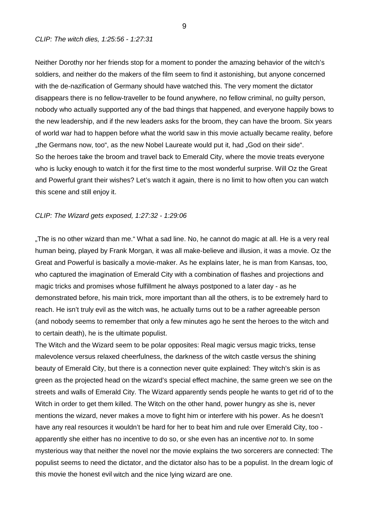### *CLIP: The witch dies, 1:25:56 - 1:27:31*

Neither Dorothy nor her friends stop for a moment to ponder the amazing behavior of the witch's soldiers, and neither do the makers of the film seem to find it astonishing, but anyone concerned with the de-nazification of Germany should have watched this. The very moment the dictator disappears there is no fellow-traveller to be found anywhere, no fellow criminal, no guilty person, nobody who actually supported any of the bad things that happened, and everyone happily bows to the new leadership, and if the new leaders asks for the broom, they can have the broom. Six years of world war had to happen before what the world saw in this movie actually became reality, before "the Germans now, too", as the new Nobel Laureate would put it, had "God on their side". So the heroes take the broom and travel back to Emerald City, where the movie treats everyone who is lucky enough to watch it for the first time to the most wonderful surprise. Will Oz the Great and Powerful grant their wishes? Let's watch it again, there is no limit to how often you can watch this scene and still enjoy it.

## *CLIP: The Wizard gets exposed, 1:27:32 - 1:29:06*

"The is no other wizard than me." What a sad line. No, he cannot do magic at all. He is a very real human being, played by Frank Morgan, it was all make-believe and illusion, it was a movie. Oz the Great and Powerful is basically a movie-maker. As he explains later, he is man from Kansas, too, who captured the imagination of Emerald City with a combination of flashes and projections and magic tricks and promises whose fulfillment he always postponed to a later day - as he demonstrated before, his main trick, more important than all the others, is to be extremely hard to reach. He isn't truly evil as the witch was, he actually turns out to be a rather agreeable person (and nobody seems to remember that only a few minutes ago he sent the heroes to the witch and to certain death), he is the ultimate populist.

The Witch and the Wizard seem to be polar opposites: Real magic versus magic tricks, tense malevolence versus relaxed cheerfulness, the darkness of the witch castle versus the shining beauty of Emerald City, but there is a connection never quite explained: They witch's skin is as green as the projected head on the wizard's special effect machine, the same green we see on the streets and walls of Emerald City. The Wizard apparently sends people he wants to get rid of to the Witch in order to get them killed. The Witch on the other hand, power hungry as she is, never mentions the wizard, never makes a move to fight him or interfere with his power. As he doesn't have any real resources it wouldn't be hard for her to beat him and rule over Emerald City, too apparently she either has no incentive to do so, or she even has an incentive *not* to. In some mysterious way that neither the novel nor the movie explains the two sorcerers are connected: The populist seems to need the dictator, and the dictator also has to be a populist. In the dream logic of this movie the honest evil witch and the nice lying wizard are one.